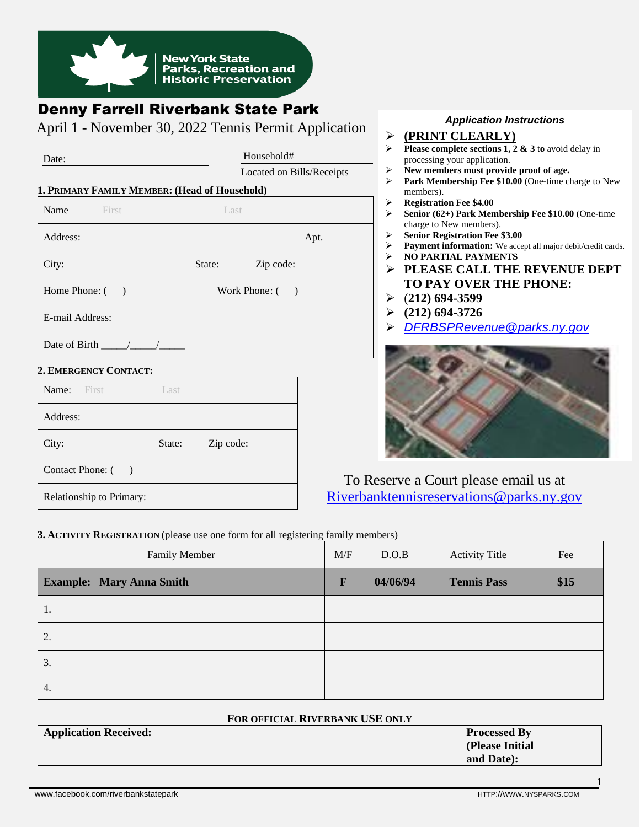

# Denny Farrell Riverbank State Park

April 1 - November 30, 2022 Tennis Permit Application

| Date:                                         | Household#          |                           |      |  |
|-----------------------------------------------|---------------------|---------------------------|------|--|
|                                               |                     | Located on Bills/Receipts |      |  |
| 1. PRIMARY FAMILY MEMBER: (Head of Household) |                     |                           |      |  |
| Name<br><b>First</b>                          | Last                |                           |      |  |
| Address:                                      |                     |                           | Apt. |  |
| City:                                         | State:              | Zip code:                 |      |  |
| Home Phone: ()                                |                     | Work Phone: ()            |      |  |
| E-mail Address:                               |                     |                           |      |  |
|                                               |                     |                           |      |  |
| 2. EMERGENCY CONTACT:                         |                     |                           |      |  |
| Name: First<br>Last                           |                     |                           |      |  |
| Address:                                      |                     |                           |      |  |
| City:                                         | State:<br>Zip code: |                           |      |  |
| Contact Phone: ()                             |                     |                           |      |  |
|                                               |                     |                           | Tς   |  |

#### *Application Instructions*

- ➢ **(PRINT CLEARLY)**
- ➢ **Please complete sections 1, 2 & 3** t**o** avoid delay in processing your application.
- ➢ **New members must provide proof of age.**
- ➢ **Park Membership Fee \$10.00** (One-time charge to New members).
- ➢ **Registration Fee \$4.00**
	- ➢ **Senior (62+) Park Membership Fee \$10.00** (One-time charge to New members).
	- ➢ **Senior Registration Fee \$3.00**
	- Payment information: We accept all major debit/credit cards.
	- ➢ **NO PARTIAL PAYMENTS**
	- ➢ **PLEASE CALL THE REVENUE DEPT TO PAY OVER THE PHONE:**
	- ➢ (**212) 694-3599**
	- ➢ **(212) 694-3726**
	- ➢ *[DFRBSPRevenue@parks.ny.gov](mailto:DFRBSPRevenue@parks.ny.gov)*



o Reserve a Court please email us at [Riverbanktennisreservations@parks.ny.gov](mailto:Riverbanktennisreservations@parks.ny.gov)

#### **3. ACTIVITY REGISTRATION** (please use one form for all registering family members)

| Family Member                   | M/F | D.O.B    | <b>Activity Title</b> | Fee  |
|---------------------------------|-----|----------|-----------------------|------|
| <b>Example: Mary Anna Smith</b> | F   | 04/06/94 | <b>Tennis Pass</b>    | \$15 |
| 1.                              |     |          |                       |      |
| 2.                              |     |          |                       |      |
| 3.                              |     |          |                       |      |
| 4.                              |     |          |                       |      |

#### **FOR OFFICIAL RIVERBANK USE ONLY**

| <b>Application Received:</b> | <b>Processed By</b> |  |  |
|------------------------------|---------------------|--|--|
|                              | (Please Initial     |  |  |
|                              | and Date):          |  |  |

Relationship to Primary:

1